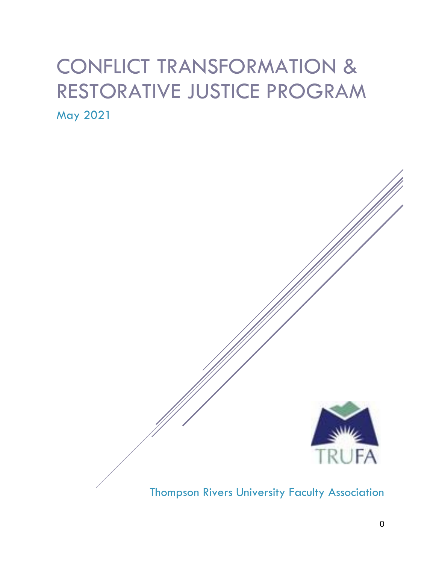## CONFLICT TRANSFORMATION & RESTORATIVE JUSTICE PROGRAM May 2021



## Thompson Rivers University Faculty Association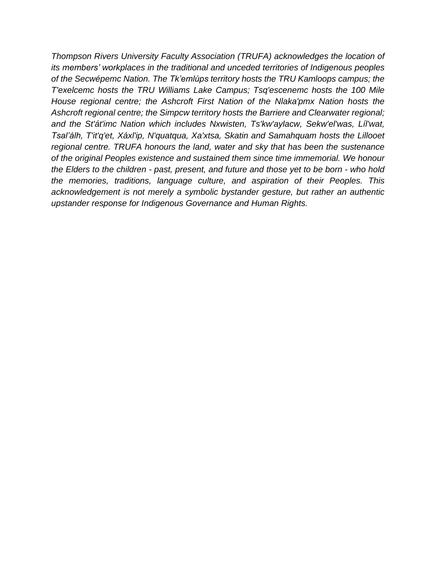*Thompson Rivers University Faculty Association (TRUFA) acknowledges the location of its members' workplaces in the traditional and unceded territories of Indigenous peoples of the Secwépemc Nation. The Tk'emlúps territory hosts the TRU Kamloops campus; the T'exelcemc hosts the TRU Williams Lake Campus; Tsq'escenemc hosts the 100 Mile House regional centre; the Ashcroft First Nation of the Nlaka'pmx Nation hosts the Ashcroft regional centre; the Simpcw territory hosts the Barriere and Clearwater regional; and the St'át'imc Nation which includes Nxwisten, Ts'kw'aylacw, Sekw'el'was, Líl'wat, Tsal'álh, T'it'q'et, Xáxl'ip, N'quatqua, Xa'xtsa, Skatin and Samahquam hosts the Lillooet regional centre. TRUFA honours the land, water and sky that has been the sustenance of the original Peoples existence and sustained them since time immemorial. We honour the Elders to the children - past, present, and future and those yet to be born - who hold the memories, traditions, language culture, and aspiration of their Peoples. This acknowledgement is not merely a symbolic bystander gesture, but rather an authentic upstander response for Indigenous Governance and Human Rights.*